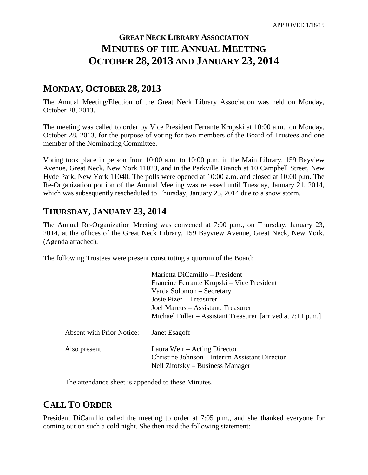# **GREAT NECK LIBRARY ASSOCIATION MINUTES OF THE ANNUAL MEETING OCTOBER 28, 2013 AND JANUARY 23, 2014**

# **MONDAY, OCTOBER 28, 2013**

The Annual Meeting/Election of the Great Neck Library Association was held on Monday, October 28, 2013.

The meeting was called to order by Vice President Ferrante Krupski at 10:00 a.m., on Monday, October 28, 2013, for the purpose of voting for two members of the Board of Trustees and one member of the Nominating Committee.

Voting took place in person from 10:00 a.m. to 10:00 p.m. in the Main Library, 159 Bayview Avenue, Great Neck, New York 11023, and in the Parkville Branch at 10 Campbell Street, New Hyde Park, New York 11040. The polls were opened at 10:00 a.m. and closed at 10:00 p.m. The Re-Organization portion of the Annual Meeting was recessed until Tuesday, January 21, 2014, which was subsequently rescheduled to Thursday, January 23, 2014 due to a snow storm.

# **THURSDAY, JANUARY 23, 2014**

The Annual Re-Organization Meeting was convened at 7:00 p.m., on Thursday, January 23, 2014, at the offices of the Great Neck Library, 159 Bayview Avenue, Great Neck, New York. (Agenda attached).

The following Trustees were present constituting a quorum of the Board:

|                                  | Marietta DiCamillo - President                                                                                     |
|----------------------------------|--------------------------------------------------------------------------------------------------------------------|
|                                  | Francine Ferrante Krupski – Vice President                                                                         |
|                                  | Varda Solomon – Secretary                                                                                          |
|                                  | Josie Pizer – Treasurer                                                                                            |
|                                  | Joel Marcus - Assistant. Treasurer                                                                                 |
|                                  | Michael Fuller – Assistant Treasurer [arrived at 7:11 p.m.]                                                        |
| <b>Absent with Prior Notice:</b> | Janet Esagoff                                                                                                      |
| Also present:                    | Laura Weir – Acting Director<br>Christine Johnson – Interim Assistant Director<br>Neil Zitofsky – Business Manager |
|                                  |                                                                                                                    |

The attendance sheet is appended to these Minutes.

# **CALL TO ORDER**

President DiCamillo called the meeting to order at 7:05 p.m., and she thanked everyone for coming out on such a cold night. She then read the following statement: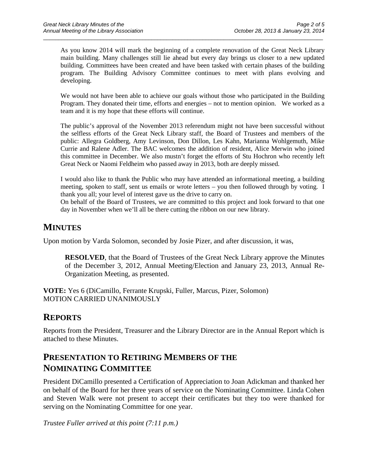As you know 2014 will mark the beginning of a complete renovation of the Great Neck Library main building. Many challenges still lie ahead but every day brings us closer to a new updated building. Committees have been created and have been tasked with certain phases of the building program. The Building Advisory Committee continues to meet with plans evolving and developing.

 $\_$  ,  $\_$  ,  $\_$  ,  $\_$  ,  $\_$  ,  $\_$  ,  $\_$  ,  $\_$  ,  $\_$  ,  $\_$  ,  $\_$  ,  $\_$  ,  $\_$  ,  $\_$  ,  $\_$  ,  $\_$  ,  $\_$  ,  $\_$  ,  $\_$  ,  $\_$  ,  $\_$  ,  $\_$  ,  $\_$  ,  $\_$  ,  $\_$  ,  $\_$  ,  $\_$  ,  $\_$  ,  $\_$  ,  $\_$  ,  $\_$  ,  $\_$  ,  $\_$  ,  $\_$  ,  $\_$  ,  $\_$  ,  $\_$  ,

We would not have been able to achieve our goals without those who participated in the Building Program. They donated their time, efforts and energies – not to mention opinion. We worked as a team and it is my hope that these efforts will continue.

The public's approval of the November 2013 referendum might not have been successful without the selfless efforts of the Great Neck Library staff, the Board of Trustees and members of the public: Allegra Goldberg, Amy Levinson, Don Dillon, Les Kahn, Marianna Wohlgemuth, Mike Currie and Ralene Adler. The BAC welcomes the addition of resident, Alice Merwin who joined this committee in December. We also mustn't forget the efforts of Stu Hochron who recently left Great Neck or Naomi Feldheim who passed away in 2013, both are deeply missed.

I would also like to thank the Public who may have attended an informational meeting, a building meeting, spoken to staff, sent us emails or wrote letters – you then followed through by voting. I thank you all; your level of interest gave us the drive to carry on.

On behalf of the Board of Trustees, we are committed to this project and look forward to that one day in November when we'll all be there cutting the ribbon on our new library.

## **MINUTES**

Upon motion by Varda Solomon, seconded by Josie Pizer, and after discussion, it was,

**RESOLVED**, that the Board of Trustees of the Great Neck Library approve the Minutes of the December 3, 2012, Annual Meeting/Election and January 23, 2013, Annual Re-Organization Meeting, as presented.

**VOTE:** Yes 6 (DiCamillo, Ferrante Krupski, Fuller, Marcus, Pizer, Solomon) MOTION CARRIED UNANIMOUSLY

## **REPORTS**

Reports from the President, Treasurer and the Library Director are in the Annual Report which is attached to these Minutes.

# **PRESENTATION TO RETIRING MEMBERS OF THE NOMINATING COMMITTEE**

President DiCamillo presented a Certification of Appreciation to Joan Adickman and thanked her on behalf of the Board for her three years of service on the Nominating Committee. Linda Cohen and Steven Walk were not present to accept their certificates but they too were thanked for serving on the Nominating Committee for one year.

*Trustee Fuller arrived at this point (7:11 p.m.)*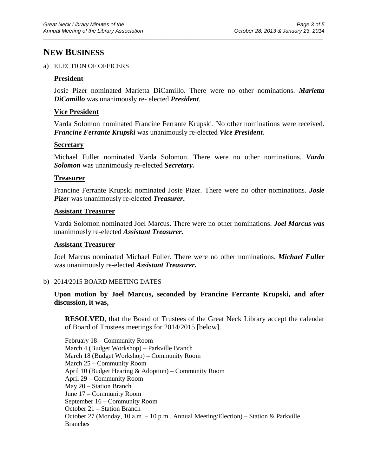## **NEW BUSINESS**

#### a) ELECTION OF OFFICERS

### **President**

Josie Pizer nominated Marietta DiCamillo. There were no other nominations. *Marietta DiCamillo* was unanimously re- elected *President.*

 $\_$  ,  $\_$  ,  $\_$  ,  $\_$  ,  $\_$  ,  $\_$  ,  $\_$  ,  $\_$  ,  $\_$  ,  $\_$  ,  $\_$  ,  $\_$  ,  $\_$  ,  $\_$  ,  $\_$  ,  $\_$  ,  $\_$  ,  $\_$  ,  $\_$  ,  $\_$  ,  $\_$  ,  $\_$  ,  $\_$  ,  $\_$  ,  $\_$  ,  $\_$  ,  $\_$  ,  $\_$  ,  $\_$  ,  $\_$  ,  $\_$  ,  $\_$  ,  $\_$  ,  $\_$  ,  $\_$  ,  $\_$  ,  $\_$  ,

#### **Vice President**

Varda Solomon nominated Francine Ferrante Krupski. No other nominations were received. *Francine Ferrante Krupski* was unanimously re-elected *Vice President.*

#### **Secretary**

Michael Fuller nominated Varda Solomon. There were no other nominations. *Varda Solomon* was unanimously re-elected *Secretary.*

#### **Treasurer**

Francine Ferrante Krupski nominated Josie Pizer. There were no other nominations. *Josie Pizer* was unanimously re-elected *Treasurer***.**

#### **Assistant Treasurer**

Varda Solomon nominated Joel Marcus. There were no other nominations. *Joel Marcus was*  unanimously re-elected *Assistant Treasurer.*

### **Assistant Treasurer**

Joel Marcus nominated Michael Fuller. There were no other nominations. *Michael Fuller* was unanimously re-elected *Assistant Treasurer.*

#### b) 2014/2015 BOARD MEETING DATES

### **Upon motion by Joel Marcus, seconded by Francine Ferrante Krupski, and after discussion, it was,**

**RESOLVED**, that the Board of Trustees of the Great Neck Library accept the calendar of Board of Trustees meetings for 2014/2015 [below].

February 18 – Community Room March 4 (Budget Workshop) – Parkville Branch March 18 (Budget Workshop) – Community Room March 25 – Community Room April 10 (Budget Hearing & Adoption) – Community Room April 29 – Community Room May 20 – Station Branch June 17 – Community Room September 16 – Community Room October 21 – Station Branch October 27 (Monday, 10 a.m. – 10 p.m., Annual Meeting/Election) – Station & Parkville Branches